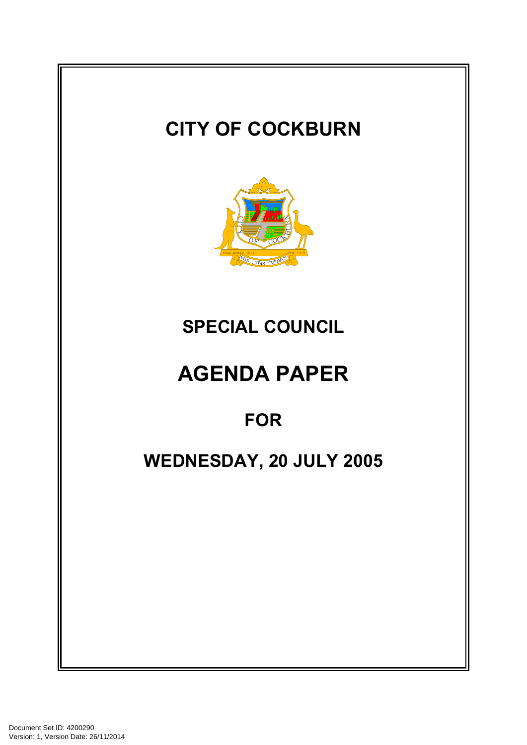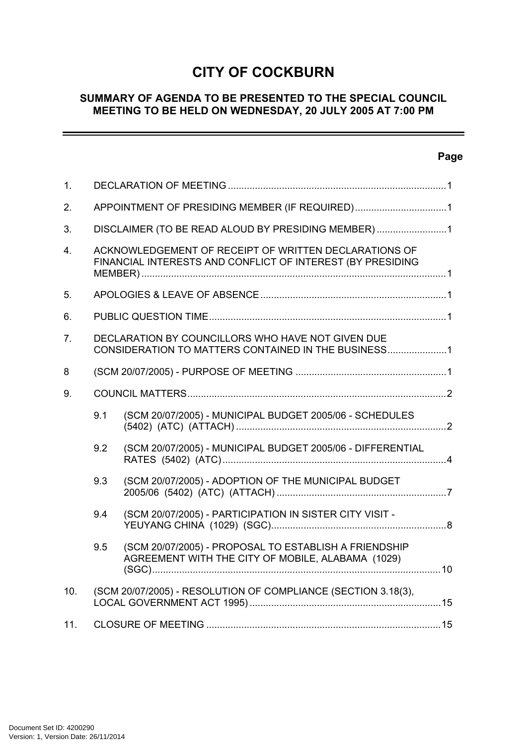# **CITY OF COCKBURN**

#### **SUMMARY OF AGENDA TO BE PRESENTED TO THE SPECIAL COUNCIL MEETING TO BE HELD ON WEDNESDAY, 20 JULY 2005 AT 7:00 PM**

## **Page**

 $\equiv$ 

| 1.               |                                                                                                                     |                                                                                                            |  |  |
|------------------|---------------------------------------------------------------------------------------------------------------------|------------------------------------------------------------------------------------------------------------|--|--|
| 2.               | APPOINTMENT OF PRESIDING MEMBER (IF REQUIRED)1                                                                      |                                                                                                            |  |  |
| 3.               | DISCLAIMER (TO BE READ ALOUD BY PRESIDING MEMBER)1                                                                  |                                                                                                            |  |  |
| $\overline{4}$ . | ACKNOWLEDGEMENT OF RECEIPT OF WRITTEN DECLARATIONS OF<br>FINANCIAL INTERESTS AND CONFLICT OF INTEREST (BY PRESIDING |                                                                                                            |  |  |
| 5.               |                                                                                                                     |                                                                                                            |  |  |
| 6.               |                                                                                                                     |                                                                                                            |  |  |
| 7 <sub>1</sub>   | DECLARATION BY COUNCILLORS WHO HAVE NOT GIVEN DUE<br>CONSIDERATION TO MATTERS CONTAINED IN THE BUSINESS1            |                                                                                                            |  |  |
| 8                |                                                                                                                     |                                                                                                            |  |  |
| 9.               |                                                                                                                     |                                                                                                            |  |  |
|                  | 9.1                                                                                                                 | (SCM 20/07/2005) - MUNICIPAL BUDGET 2005/06 - SCHEDULES                                                    |  |  |
|                  | 9.2                                                                                                                 | (SCM 20/07/2005) - MUNICIPAL BUDGET 2005/06 - DIFFERENTIAL                                                 |  |  |
|                  | 9.3                                                                                                                 | (SCM 20/07/2005) - ADOPTION OF THE MUNICIPAL BUDGET                                                        |  |  |
|                  | 9.4                                                                                                                 | (SCM 20/07/2005) - PARTICIPATION IN SISTER CITY VISIT -                                                    |  |  |
|                  | 9.5                                                                                                                 | (SCM 20/07/2005) - PROPOSAL TO ESTABLISH A FRIENDSHIP<br>AGREEMENT WITH THE CITY OF MOBILE, ALABAMA (1029) |  |  |
| 10.              | (SCM 20/07/2005) - RESOLUTION OF COMPLIANCE (SECTION 3.18(3),                                                       |                                                                                                            |  |  |
| 11.              |                                                                                                                     |                                                                                                            |  |  |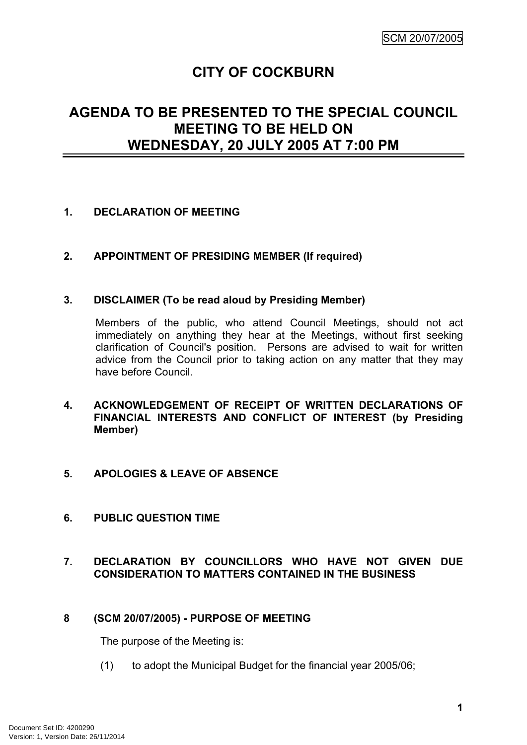# **CITY OF COCKBURN**

## **AGENDA TO BE PRESENTED TO THE SPECIAL COUNCIL MEETING TO BE HELD ON WEDNESDAY, 20 JULY 2005 AT 7:00 PM**

#### <span id="page-2-0"></span>**1. DECLARATION OF MEETING**

#### <span id="page-2-1"></span>**2. APPOINTMENT OF PRESIDING MEMBER (If required)**

#### <span id="page-2-2"></span>**3. DISCLAIMER (To be read aloud by Presiding Member)**

Members of the public, who attend Council Meetings, should not act immediately on anything they hear at the Meetings, without first seeking clarification of Council's position. Persons are advised to wait for written advice from the Council prior to taking action on any matter that they may have before Council.

#### <span id="page-2-3"></span>**4. ACKNOWLEDGEMENT OF RECEIPT OF WRITTEN DECLARATIONS OF FINANCIAL INTERESTS AND CONFLICT OF INTEREST (by Presiding Member)**

#### <span id="page-2-4"></span>**5. APOLOGIES & LEAVE OF ABSENCE**

#### <span id="page-2-5"></span>**6. PUBLIC QUESTION TIME**

## <span id="page-2-6"></span>**7. DECLARATION BY COUNCILLORS WHO HAVE NOT GIVEN DUE CONSIDERATION TO MATTERS CONTAINED IN THE BUSINESS**

#### <span id="page-2-7"></span>**8 (SCM 20/07/2005) - PURPOSE OF MEETING**

The purpose of the Meeting is:

(1) to adopt the Municipal Budget for the financial year 2005/06;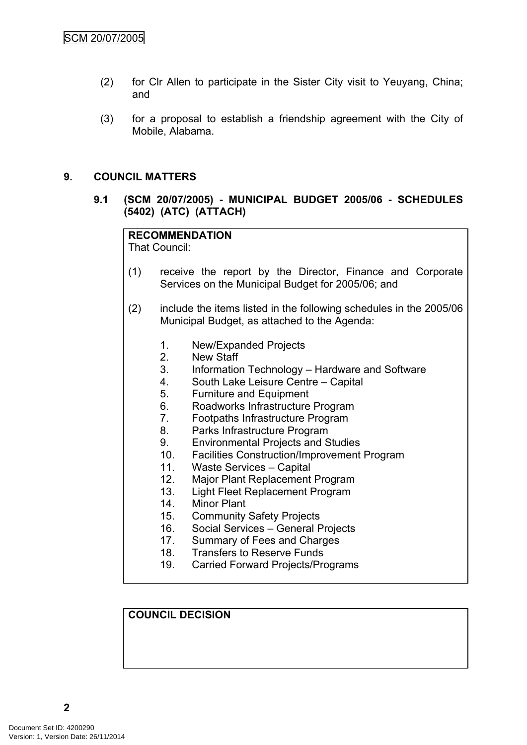- (2) for Clr Allen to participate in the Sister City visit to Yeuyang, China; and
- (3) for a proposal to establish a friendship agreement with the City of Mobile, Alabama.

#### <span id="page-3-0"></span>**9. COUNCIL MATTERS**

<span id="page-3-1"></span>**9.1 (SCM 20/07/2005) - MUNICIPAL BUDGET 2005/06 - SCHEDULES (5402) (ATC) (ATTACH)**

# **RECOMMENDATION**

That Council:

- (1) receive the report by the Director, Finance and Corporate Services on the Municipal Budget for 2005/06; and
- (2) include the items listed in the following schedules in the 2005/06 Municipal Budget, as attached to the Agenda:
	- 1. New/Expanded Projects
	- 2. New Staff
	- 3. Information Technology Hardware and Software
	- 4. South Lake Leisure Centre Capital
	- 5. Furniture and Equipment
	- 6. Roadworks Infrastructure Program
	- 7. Footpaths Infrastructure Program
	- 8. Parks Infrastructure Program
	- 9. Environmental Projects and Studies
	- 10. Facilities Construction/Improvement Program
	- 11. Waste Services Capital
	- 12. Major Plant Replacement Program
	- 13. Light Fleet Replacement Program
	- 14. Minor Plant
	- 15. Community Safety Projects
	- 16. Social Services General Projects
	- 17. Summary of Fees and Charges
	- 18. Transfers to Reserve Funds
	- 19. Carried Forward Projects/Programs

## **COUNCIL DECISION**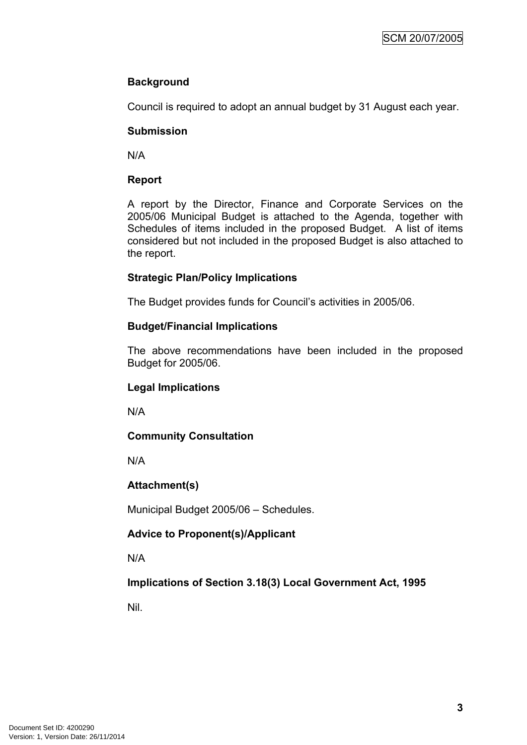## **Background**

Council is required to adopt an annual budget by 31 August each year.

## **Submission**

N/A

## **Report**

A report by the Director, Finance and Corporate Services on the 2005/06 Municipal Budget is attached to the Agenda, together with Schedules of items included in the proposed Budget. A list of items considered but not included in the proposed Budget is also attached to the report.

## **Strategic Plan/Policy Implications**

The Budget provides funds for Council's activities in 2005/06.

## **Budget/Financial Implications**

The above recommendations have been included in the proposed Budget for 2005/06.

#### **Legal Implications**

N/A

## **Community Consultation**

N/A

## **Attachment(s)**

Municipal Budget 2005/06 – Schedules.

## **Advice to Proponent(s)/Applicant**

N/A

## **Implications of Section 3.18(3) Local Government Act, 1995**

Nil.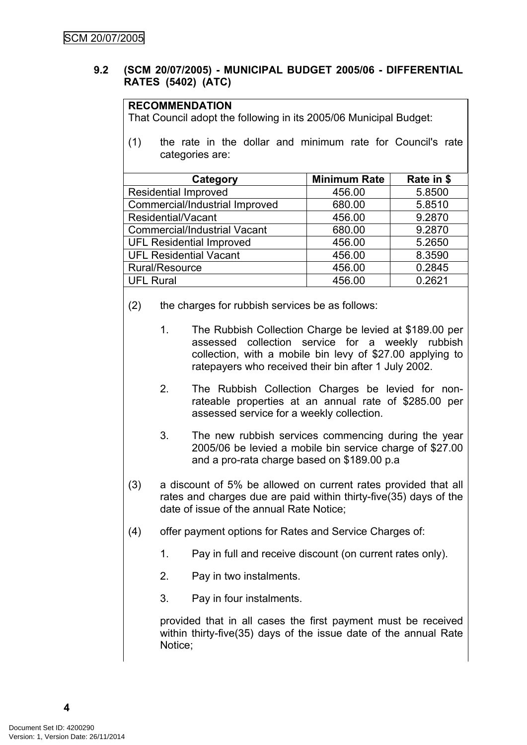#### <span id="page-5-0"></span>**9.2 (SCM 20/07/2005) - MUNICIPAL BUDGET 2005/06 - DIFFERENTIAL RATES (5402) (ATC)**

#### **RECOMMENDATION**

That Council adopt the following in its 2005/06 Municipal Budget:

(1) the rate in the dollar and minimum rate for Council's rate categories are:

| Category                            | <b>Minimum Rate</b> | Rate in \$ |  |  |  |
|-------------------------------------|---------------------|------------|--|--|--|
| <b>Residential Improved</b>         | 456.00              | 5.8500     |  |  |  |
| Commercial/Industrial Improved      | 680.00              | 5.8510     |  |  |  |
| Residential/Vacant                  | 456.00              | 9.2870     |  |  |  |
| <b>Commercial/Industrial Vacant</b> | 680.00              | 9.2870     |  |  |  |
| <b>UFL Residential Improved</b>     | 456.00              | 5.2650     |  |  |  |
| <b>UFL Residential Vacant</b>       | 456.00              | 8.3590     |  |  |  |
| Rural/Resource                      | 456.00              | 0.2845     |  |  |  |
| <b>UFL Rural</b>                    | 456.00              | 0.2621     |  |  |  |

- (2) the charges for rubbish services be as follows:
	- 1. The Rubbish Collection Charge be levied at \$189.00 per assessed collection service for a weekly rubbish collection, with a mobile bin levy of \$27.00 applying to ratepayers who received their bin after 1 July 2002.
	- 2. The Rubbish Collection Charges be levied for nonrateable properties at an annual rate of \$285.00 per assessed service for a weekly collection.
	- 3. The new rubbish services commencing during the year 2005/06 be levied a mobile bin service charge of \$27.00 and a pro-rata charge based on \$189.00 p.a
- (3) a discount of 5% be allowed on current rates provided that all rates and charges due are paid within thirty-five(35) days of the date of issue of the annual Rate Notice;
- (4) offer payment options for Rates and Service Charges of:
	- 1. Pay in full and receive discount (on current rates only).
	- 2. Pay in two instalments.
	- 3. Pay in four instalments.

provided that in all cases the first payment must be received within thirty-five(35) days of the issue date of the annual Rate Notice;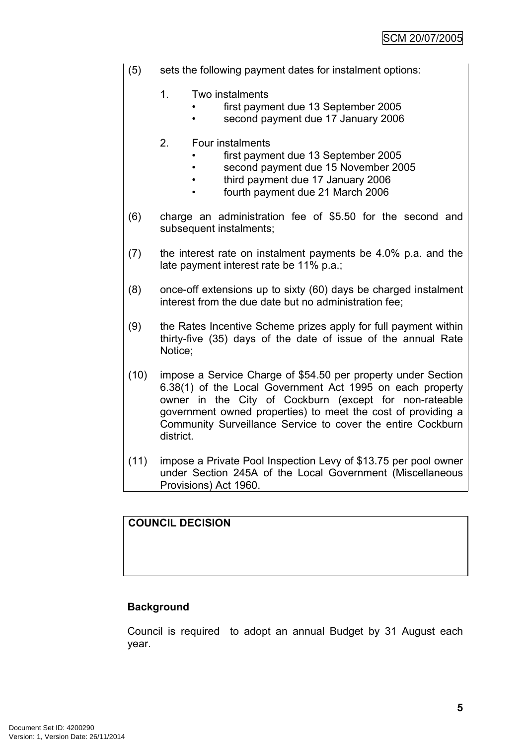- (5) sets the following payment dates for instalment options:
	- 1. Two instalments
		- first payment due 13 September 2005
		- second payment due 17 January 2006
	- 2. Four instalments
		- first payment due 13 September 2005
		- second payment due 15 November 2005
		- third payment due 17 January 2006
		- fourth payment due 21 March 2006
- (6) charge an administration fee of \$5.50 for the second and subsequent instalments;
- (7) the interest rate on instalment payments be 4.0% p.a. and the late payment interest rate be 11% p.a.;
- (8) once-off extensions up to sixty (60) days be charged instalment interest from the due date but no administration fee;
- (9) the Rates Incentive Scheme prizes apply for full payment within thirty-five (35) days of the date of issue of the annual Rate Notice;
- (10) impose a Service Charge of \$54.50 per property under Section 6.38(1) of the Local Government Act 1995 on each property owner in the City of Cockburn (except for non-rateable government owned properties) to meet the cost of providing a Community Surveillance Service to cover the entire Cockburn district.
- (11) impose a Private Pool Inspection Levy of \$13.75 per pool owner under Section 245A of the Local Government (Miscellaneous Provisions) Act 1960.

## **COUNCIL DECISION**

## **Background**

Council is required to adopt an annual Budget by 31 August each year.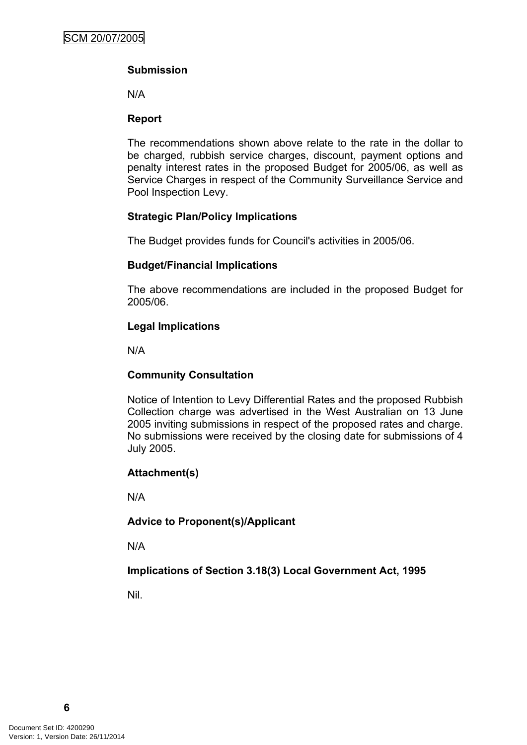## **Submission**

N/A

## **Report**

The recommendations shown above relate to the rate in the dollar to be charged, rubbish service charges, discount, payment options and penalty interest rates in the proposed Budget for 2005/06, as well as Service Charges in respect of the Community Surveillance Service and Pool Inspection Levy.

## **Strategic Plan/Policy Implications**

The Budget provides funds for Council's activities in 2005/06.

## **Budget/Financial Implications**

The above recommendations are included in the proposed Budget for 2005/06.

## **Legal Implications**

N/A

## **Community Consultation**

Notice of Intention to Levy Differential Rates and the proposed Rubbish Collection charge was advertised in the West Australian on 13 June 2005 inviting submissions in respect of the proposed rates and charge. No submissions were received by the closing date for submissions of 4 July 2005.

## **Attachment(s)**

N/A

## **Advice to Proponent(s)/Applicant**

N/A

## **Implications of Section 3.18(3) Local Government Act, 1995**

Nil.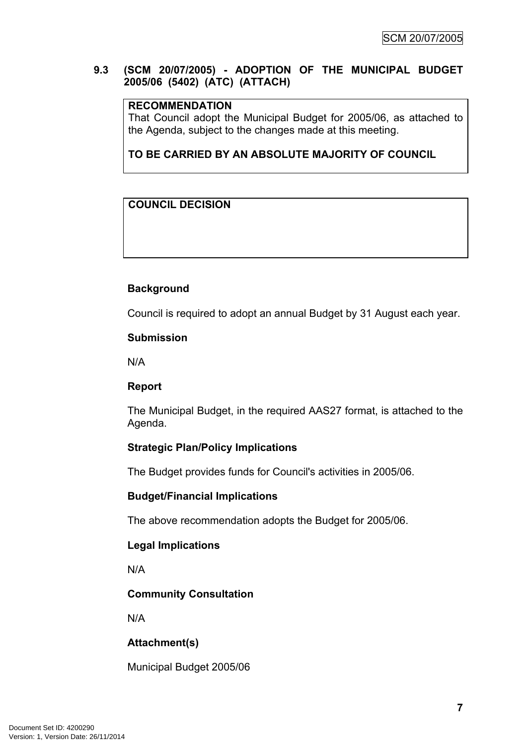## <span id="page-8-0"></span>**9.3 (SCM 20/07/2005) - ADOPTION OF THE MUNICIPAL BUDGET 2005/06 (5402) (ATC) (ATTACH)**

#### **RECOMMENDATION**

That Council adopt the Municipal Budget for 2005/06, as attached to the Agenda, subject to the changes made at this meeting.

**TO BE CARRIED BY AN ABSOLUTE MAJORITY OF COUNCIL**

## **COUNCIL DECISION**

## **Background**

Council is required to adopt an annual Budget by 31 August each year.

#### **Submission**

N/A

#### **Report**

The Municipal Budget, in the required AAS27 format, is attached to the Agenda.

#### **Strategic Plan/Policy Implications**

The Budget provides funds for Council's activities in 2005/06.

#### **Budget/Financial Implications**

The above recommendation adopts the Budget for 2005/06.

#### **Legal Implications**

N/A

#### **Community Consultation**

N/A

## **Attachment(s)**

Municipal Budget 2005/06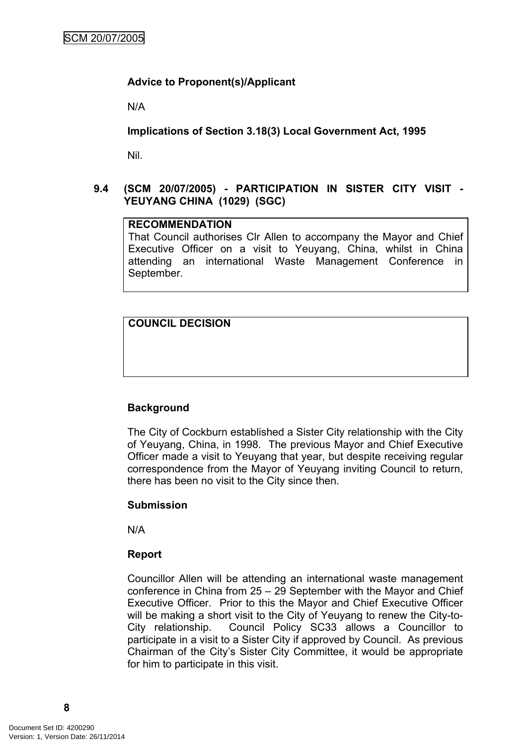## **Advice to Proponent(s)/Applicant**

N/A

**Implications of Section 3.18(3) Local Government Act, 1995**

Nil.

## <span id="page-9-0"></span>**9.4 (SCM 20/07/2005) - PARTICIPATION IN SISTER CITY VISIT - YEUYANG CHINA (1029) (SGC)**

#### **RECOMMENDATION**

That Council authorises Clr Allen to accompany the Mayor and Chief Executive Officer on a visit to Yeuyang, China, whilst in China attending an international Waste Management Conference in September.

## **COUNCIL DECISION**

#### **Background**

The City of Cockburn established a Sister City relationship with the City of Yeuyang, China, in 1998. The previous Mayor and Chief Executive Officer made a visit to Yeuyang that year, but despite receiving regular correspondence from the Mayor of Yeuyang inviting Council to return, there has been no visit to the City since then.

#### **Submission**

N/A

#### **Report**

Councillor Allen will be attending an international waste management conference in China from 25 – 29 September with the Mayor and Chief Executive Officer. Prior to this the Mayor and Chief Executive Officer will be making a short visit to the City of Yeuyang to renew the City-to-City relationship. Council Policy SC33 allows a Councillor to participate in a visit to a Sister City if approved by Council. As previous Chairman of the City's Sister City Committee, it would be appropriate for him to participate in this visit.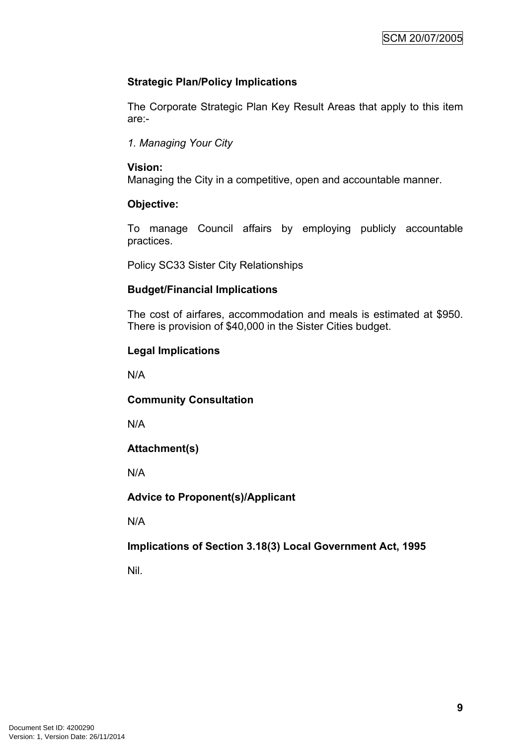## **Strategic Plan/Policy Implications**

The Corporate Strategic Plan Key Result Areas that apply to this item are:-

*1. Managing Your City*

## **Vision:**

Managing the City in a competitive, open and accountable manner.

## **Objective:**

To manage Council affairs by employing publicly accountable practices.

Policy SC33 Sister City Relationships

## **Budget/Financial Implications**

The cost of airfares, accommodation and meals is estimated at \$950. There is provision of \$40,000 in the Sister Cities budget.

## **Legal Implications**

N/A

## **Community Consultation**

N/A

## **Attachment(s)**

N/A

## **Advice to Proponent(s)/Applicant**

N/A

## **Implications of Section 3.18(3) Local Government Act, 1995**

Nil.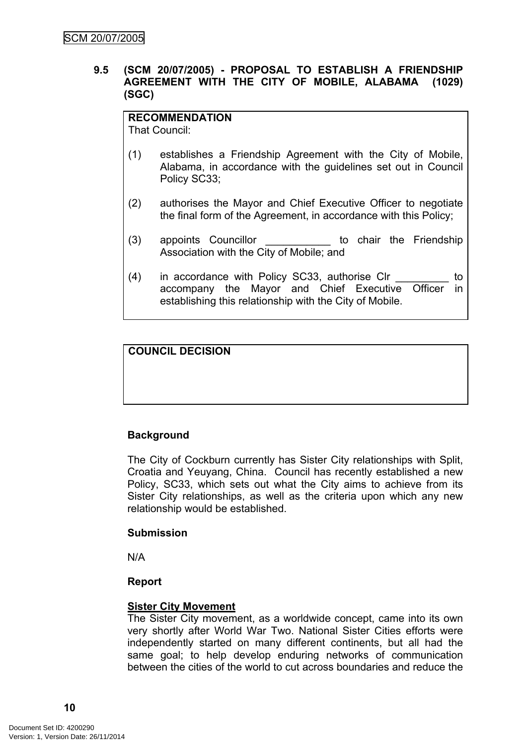#### <span id="page-11-0"></span>**9.5 (SCM 20/07/2005) - PROPOSAL TO ESTABLISH A FRIENDSHIP AGREEMENT WITH THE CITY OF MOBILE, ALABAMA (1029) (SGC)**

#### **RECOMMENDATION**

That Council:

- (1) establishes a Friendship Agreement with the City of Mobile, Alabama, in accordance with the guidelines set out in Council Policy SC33;
- (2) authorises the Mayor and Chief Executive Officer to negotiate the final form of the Agreement, in accordance with this Policy;
- (3) appoints Councillor **be the Structure of the Friendship** Association with the City of Mobile; and
- (4) in accordance with Policy SC33, authorise Clr \_\_\_\_\_\_\_\_\_ to accompany the Mayor and Chief Executive Officer in establishing this relationship with the City of Mobile.

## **COUNCIL DECISION**

## **Background**

The City of Cockburn currently has Sister City relationships with Split, Croatia and Yeuyang, China. Council has recently established a new Policy, SC33, which sets out what the City aims to achieve from its Sister City relationships, as well as the criteria upon which any new relationship would be established.

#### **Submission**

N/A

#### **Report**

#### **Sister City Movement**

The Sister City movement, as a worldwide concept, came into its own very shortly after World War Two. National Sister Cities efforts were independently started on many different continents, but all had the same goal; to help develop enduring networks of communication between the cities of the world to cut across boundaries and reduce the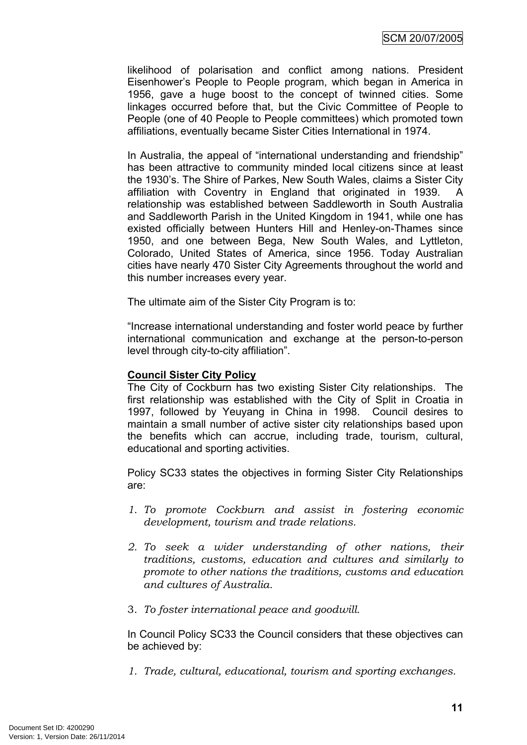likelihood of polarisation and conflict among nations. President Eisenhower's People to People program, which began in America in 1956, gave a huge boost to the concept of twinned cities. Some linkages occurred before that, but the Civic Committee of People to People (one of 40 People to People committees) which promoted town affiliations, eventually became Sister Cities International in 1974.

In Australia, the appeal of "international understanding and friendship" has been attractive to community minded local citizens since at least the 1930's. The Shire of Parkes, New South Wales, claims a Sister City affiliation with Coventry in England that originated in 1939. A relationship was established between Saddleworth in South Australia and Saddleworth Parish in the United Kingdom in 1941, while one has existed officially between Hunters Hill and Henley-on-Thames since 1950, and one between Bega, New South Wales, and Lyttleton, Colorado, United States of America, since 1956. Today Australian cities have nearly 470 Sister City Agreements throughout the world and this number increases every year.

The ultimate aim of the Sister City Program is to:

"Increase international understanding and foster world peace by further international communication and exchange at the person-to-person level through city-to-city affiliation".

#### **Council Sister City Policy**

The City of Cockburn has two existing Sister City relationships. The first relationship was established with the City of Split in Croatia in 1997, followed by Yeuyang in China in 1998. Council desires to maintain a small number of active sister city relationships based upon the benefits which can accrue, including trade, tourism, cultural, educational and sporting activities.

Policy SC33 states the objectives in forming Sister City Relationships are:

- *1. To promote Cockburn and assist in fostering economic development, tourism and trade relations.*
- *2. To seek a wider understanding of other nations, their traditions, customs, education and cultures and similarly to promote to other nations the traditions, customs and education and cultures of Australia.*
- 3. *To foster international peace and goodwill.*

In Council Policy SC33 the Council considers that these objectives can be achieved by:

*1. Trade, cultural, educational, tourism and sporting exchanges.*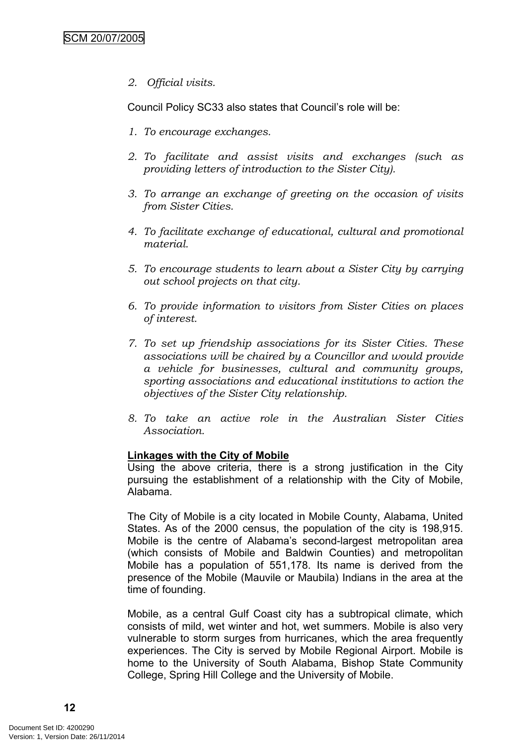*2. Official visits.*

Council Policy SC33 also states that Council's role will be:

- *1. To encourage exchanges.*
- *2. To facilitate and assist visits and exchanges (such as providing letters of introduction to the Sister City).*
- *3. To arrange an exchange of greeting on the occasion of visits from Sister Cities.*
- *4. To facilitate exchange of educational, cultural and promotional material.*
- *5. To encourage students to learn about a Sister City by carrying out school projects on that city.*
- *6. To provide information to visitors from Sister Cities on places of interest.*
- *7. To set up friendship associations for its Sister Cities. These associations will be chaired by a Councillor and would provide a vehicle for businesses, cultural and community groups, sporting associations and educational institutions to action the objectives of the Sister City relationship.*
- *8. To take an active role in the Australian Sister Cities Association.*

#### **Linkages with the City of Mobile**

Using the above criteria, there is a strong justification in the City pursuing the establishment of a relationship with the City of Mobile, Alabama.

The City of Mobile is a city located in Mobile County, Alabama, United States. As of the 2000 census, the population of the city is 198,915. Mobile is the centre of Alabama's second-largest metropolitan area (which consists of Mobile and Baldwin Counties) and metropolitan Mobile has a population of 551,178. Its name is derived from the presence of the Mobile (Mauvile or Maubila) Indians in the area at the time of founding.

Mobile, as a central Gulf Coast city has a subtropical climate, which consists of mild, wet winter and hot, wet summers. Mobile is also very vulnerable to storm surges from hurricanes, which the area frequently experiences. The City is served by Mobile Regional Airport. Mobile is home to the University of South Alabama, Bishop State Community College, Spring Hill College and the University of Mobile.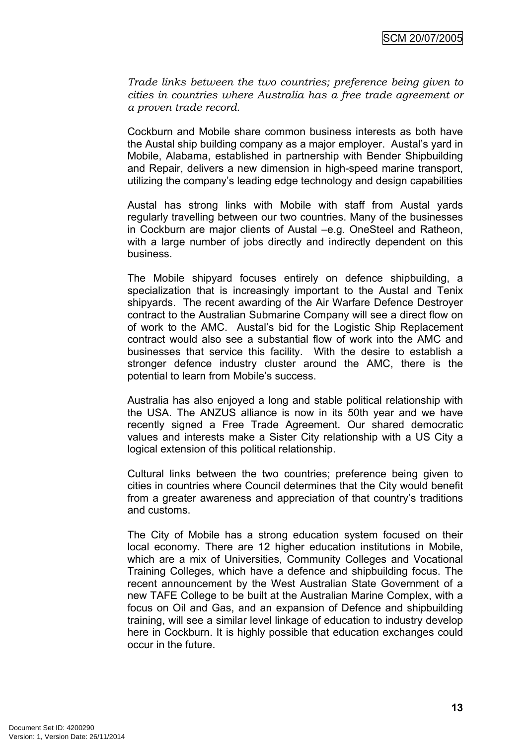*Trade links between the two countries; preference being given to cities in countries where Australia has a free trade agreement or a proven trade record.*

Cockburn and Mobile share common business interests as both have the Austal ship building company as a major employer. Austal's yard in Mobile, Alabama, established in partnership with Bender Shipbuilding and Repair, delivers a new dimension in high-speed marine transport, utilizing the company's leading edge technology and design capabilities

Austal has strong links with Mobile with staff from Austal yards regularly travelling between our two countries. Many of the businesses in Cockburn are major clients of Austal –e.g. OneSteel and Ratheon, with a large number of jobs directly and indirectly dependent on this business.

The Mobile shipyard focuses entirely on defence shipbuilding, a specialization that is increasingly important to the Austal and Tenix shipyards. The recent awarding of the Air Warfare Defence Destroyer contract to the Australian Submarine Company will see a direct flow on of work to the AMC. Austal's bid for the Logistic Ship Replacement contract would also see a substantial flow of work into the AMC and businesses that service this facility. With the desire to establish a stronger defence industry cluster around the AMC, there is the potential to learn from Mobile's success.

Australia has also enjoyed a long and stable political relationship with the USA. The ANZUS alliance is now in its 50th year and we have recently signed a Free Trade Agreement. Our shared democratic values and interests make a Sister City relationship with a US City a logical extension of this political relationship.

Cultural links between the two countries; preference being given to cities in countries where Council determines that the City would benefit from a greater awareness and appreciation of that country's traditions and customs.

The City of Mobile has a strong education system focused on their local economy. There are 12 higher education institutions in Mobile, which are a mix of Universities, Community Colleges and Vocational Training Colleges, which have a defence and shipbuilding focus. The recent announcement by the West Australian State Government of a new TAFE College to be built at the Australian Marine Complex, with a focus on Oil and Gas, and an expansion of Defence and shipbuilding training, will see a similar level linkage of education to industry develop here in Cockburn. It is highly possible that education exchanges could occur in the future.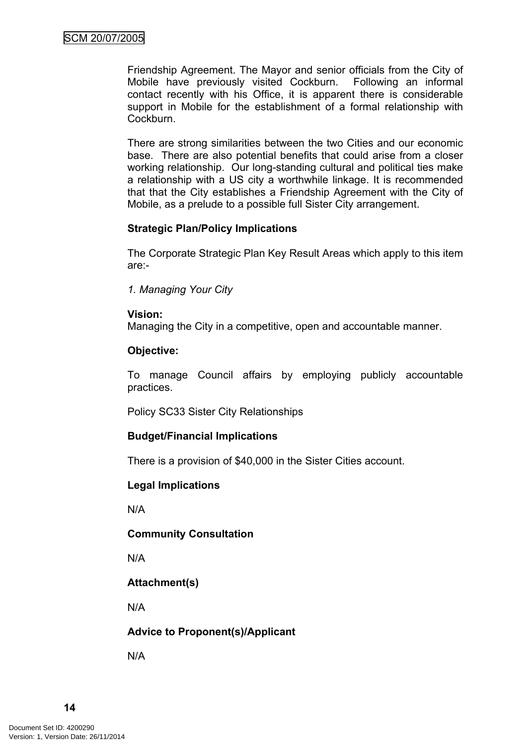Friendship Agreement. The Mayor and senior officials from the City of Mobile have previously visited Cockburn. Following an informal contact recently with his Office, it is apparent there is considerable support in Mobile for the establishment of a formal relationship with Cockburn.

There are strong similarities between the two Cities and our economic base. There are also potential benefits that could arise from a closer working relationship. Our long-standing cultural and political ties make a relationship with a US city a worthwhile linkage. It is recommended that that the City establishes a Friendship Agreement with the City of Mobile, as a prelude to a possible full Sister City arrangement.

## **Strategic Plan/Policy Implications**

The Corporate Strategic Plan Key Result Areas which apply to this item are:-

*1. Managing Your City*

#### **Vision:**

Managing the City in a competitive, open and accountable manner.

## **Objective:**

To manage Council affairs by employing publicly accountable practices.

Policy SC33 Sister City Relationships

#### **Budget/Financial Implications**

There is a provision of \$40,000 in the Sister Cities account.

## **Legal Implications**

N/A

#### **Community Consultation**

N/A

## **Attachment(s)**

N/A

## **Advice to Proponent(s)/Applicant**

N/A